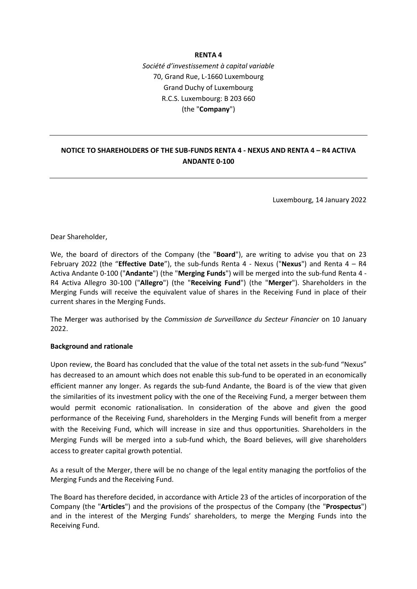#### **RENTA 4**

*Société d'investissement à capital variable* 70, Grand Rue, L-1660 Luxembourg Grand Duchy of Luxembourg R.C.S. Luxembourg: B 203 660 (the "**Company**")

## **NOTICE TO SHAREHOLDERS OF THE SUB-FUNDS RENTA 4 - NEXUS AND RENTA 4 – R4 ACTIVA ANDANTE 0-100**

Luxembourg, 14 January 2022

Dear Shareholder,

We, the board of directors of the Company (the "**Board**"), are writing to advise you that on 23 February 2022 (the "**Effective Date**"), the sub-funds Renta 4 - Nexus ("**Nexus**") and Renta 4 – R4 Activa Andante 0-100 ("**Andante**") (the "**Merging Funds**") will be merged into the sub-fund Renta 4 - R4 Activa Allegro 30-100 ("**Allegro**") (the "**Receiving Fund**") (the "**Merger**"). Shareholders in the Merging Funds will receive the equivalent value of shares in the Receiving Fund in place of their current shares in the Merging Funds.

The Merger was authorised by the *Commission de Surveillance du Secteur Financier* on 10 January 2022.

#### **Background and rationale**

Upon review, the Board has concluded that the value of the total net assets in the sub-fund "Nexus" has decreased to an amount which does not enable this sub-fund to be operated in an economically efficient manner any longer. As regards the sub-fund Andante, the Board is of the view that given the similarities of its investment policy with the one of the Receiving Fund, a merger between them would permit economic rationalisation. In consideration of the above and given the good performance of the Receiving Fund, shareholders in the Merging Funds will benefit from a merger with the Receiving Fund, which will increase in size and thus opportunities. Shareholders in the Merging Funds will be merged into a sub-fund which, the Board believes, will give shareholders access to greater capital growth potential.

As a result of the Merger, there will be no change of the legal entity managing the portfolios of the Merging Funds and the Receiving Fund.

The Board has therefore decided, in accordance with Article 23 of the articles of incorporation of the Company (the "**Articles**") and the provisions of the prospectus of the Company (the "**Prospectus**") and in the interest of the Merging Funds' shareholders, to merge the Merging Funds into the Receiving Fund.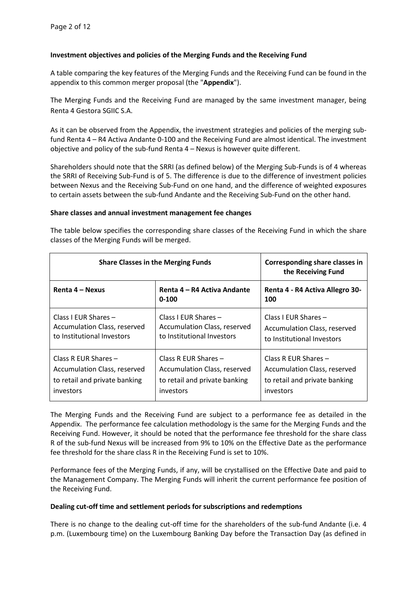Class R EUR Shares –

investors

Accumulation Class, reserved to retail and private banking

### **Investment objectives and policies of the Merging Funds and the Receiving Fund**

A table comparing the key features of the Merging Funds and the Receiving Fund can be found in the appendix to this common merger proposal (the "**Appendix**").

The Merging Funds and the Receiving Fund are managed by the same investment manager, being Renta 4 Gestora SGIIC S.A.

As it can be observed from the Appendix, the investment strategies and policies of the merging subfund Renta 4 – R4 Activa Andante 0-100 and the Receiving Fund are almost identical. The investment objective and policy of the sub-fund Renta 4 – Nexus is however quite different.

Shareholders should note that the SRRI (as defined below) of the Merging Sub-Funds is of 4 whereas the SRRI of Receiving Sub-Fund is of 5. The difference is due to the difference of investment policies between Nexus and the Receiving Sub-Fund on one hand, and the difference of weighted exposures to certain assets between the sub-fund Andante and the Receiving Sub-Fund on the other hand.

#### **Share classes and annual investment management fee changes**

| classes of the ivierging Funds will be merged.                                       |                                                                                           |                                                                                    |  |  |
|--------------------------------------------------------------------------------------|-------------------------------------------------------------------------------------------|------------------------------------------------------------------------------------|--|--|
| <b>Share Classes in the Merging Funds</b>                                            | Corresponding share classes in<br>the Receiving Fund                                      |                                                                                    |  |  |
| Renta 4 – Nexus                                                                      | Renta 4 – R4 Activa Andante<br>$0 - 100$                                                  | Renta 4 - R4 Activa Allegro 30-<br>100                                             |  |  |
| Class I EUR Shares $-$<br>Accumulation Class, reserved<br>to Institutional Investors | Class I EUR Shares -<br><b>Accumulation Class, reserved</b><br>to Institutional Investors | Class I EUR Shares -<br>Accumulation Class, reserved<br>to Institutional Investors |  |  |

Class R EUR Shares –

investors

Accumulation Class, reserved to retail and private banking

Class R EUR Shares –

investors

Accumulation Class, reserved to retail and private banking

The table below specifies the corresponding share classes of the Receiving Fund in which the share<br>classes of the Margins Fundamill be magned. classes of the Merging Funds will be merged.

The Merging Funds and the Receiving Fund are subject to a performance fee as detailed in the Appendix. The performance fee calculation methodology is the same for the Merging Funds and the Receiving Fund. However, it should be noted that the performance fee threshold for the share class R of the sub-fund Nexus will be increased from 9% to 10% on the Effective Date as the performance fee threshold for the share class R in the Receiving Fund is set to 10%.

Performance fees of the Merging Funds, if any, will be crystallised on the Effective Date and paid to the Management Company. The Merging Funds will inherit the current performance fee position of the Receiving Fund.

#### **Dealing cut-off time and settlement periods for subscriptions and redemptions**

There is no change to the dealing cut-off time for the shareholders of the sub-fund Andante (i.e. 4 p.m. (Luxembourg time) on the Luxembourg Banking Day before the Transaction Day (as defined in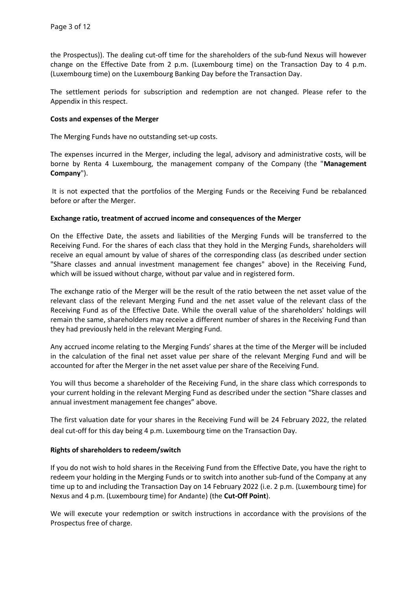the Prospectus)). The dealing cut-off time for the shareholders of the sub-fund Nexus will however change on the Effective Date from 2 p.m. (Luxembourg time) on the Transaction Day to 4 p.m. (Luxembourg time) on the Luxembourg Banking Day before the Transaction Day.

The settlement periods for subscription and redemption are not changed. Please refer to the Appendix in this respect.

### **Costs and expenses of the Merger**

The Merging Funds have no outstanding set-up costs.

The expenses incurred in the Merger, including the legal, advisory and administrative costs, will be borne by Renta 4 Luxembourg, the management company of the Company (the "**Management Company**").

It is not expected that the portfolios of the Merging Funds or the Receiving Fund be rebalanced before or after the Merger.

### **Exchange ratio, treatment of accrued income and consequences of the Merger**

On the Effective Date, the assets and liabilities of the Merging Funds will be transferred to the Receiving Fund. For the shares of each class that they hold in the Merging Funds, shareholders will receive an equal amount by value of shares of the corresponding class (as described under section "Share classes and annual investment management fee changes" above) in the Receiving Fund, which will be issued without charge, without par value and in registered form.

The exchange ratio of the Merger will be the result of the ratio between the net asset value of the relevant class of the relevant Merging Fund and the net asset value of the relevant class of the Receiving Fund as of the Effective Date. While the overall value of the shareholders' holdings will remain the same, shareholders may receive a different number of shares in the Receiving Fund than they had previously held in the relevant Merging Fund.

Any accrued income relating to the Merging Funds' shares at the time of the Merger will be included in the calculation of the final net asset value per share of the relevant Merging Fund and will be accounted for after the Merger in the net asset value per share of the Receiving Fund.

You will thus become a shareholder of the Receiving Fund, in the share class which corresponds to your current holding in the relevant Merging Fund as described under the section "Share classes and annual investment management fee changes" above.

The first valuation date for your shares in the Receiving Fund will be 24 February 2022, the related deal cut-off for this day being 4 p.m. Luxembourg time on the Transaction Day.

#### **Rights of shareholders to redeem/switch**

If you do not wish to hold shares in the Receiving Fund from the Effective Date, you have the right to redeem your holding in the Merging Funds or to switch into another sub-fund of the Company at any time up to and including the Transaction Day on 14 February 2022 (i.e. 2 p.m. (Luxembourg time) for Nexus and 4 p.m. (Luxembourg time) for Andante) (the **Cut-Off Point**).

We will execute your redemption or switch instructions in accordance with the provisions of the Prospectus free of charge.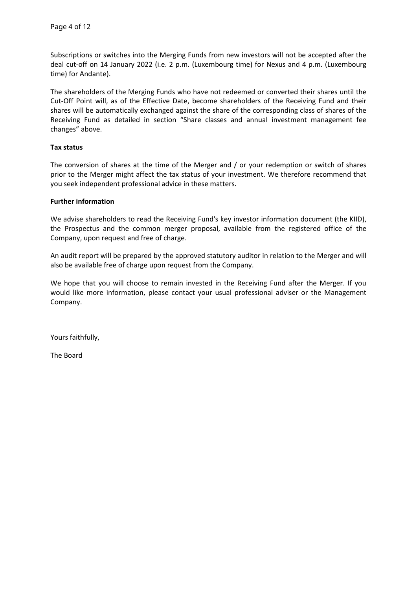Subscriptions or switches into the Merging Funds from new investors will not be accepted after the deal cut-off on 14 January 2022 (i.e. 2 p.m. (Luxembourg time) for Nexus and 4 p.m. (Luxembourg time) for Andante).

The shareholders of the Merging Funds who have not redeemed or converted their shares until the Cut-Off Point will, as of the Effective Date, become shareholders of the Receiving Fund and their shares will be automatically exchanged against the share of the corresponding class of shares of the Receiving Fund as detailed in section "Share classes and annual investment management fee changes" above.

### **Tax status**

The conversion of shares at the time of the Merger and / or your redemption or switch of shares prior to the Merger might affect the tax status of your investment. We therefore recommend that you seek independent professional advice in these matters.

### **Further information**

We advise shareholders to read the Receiving Fund's key investor information document (the KIID), the Prospectus and the common merger proposal, available from the registered office of the Company, upon request and free of charge.

An audit report will be prepared by the approved statutory auditor in relation to the Merger and will also be available free of charge upon request from the Company.

We hope that you will choose to remain invested in the Receiving Fund after the Merger. If you would like more information, please contact your usual professional adviser or the Management Company.

Yours faithfully,

The Board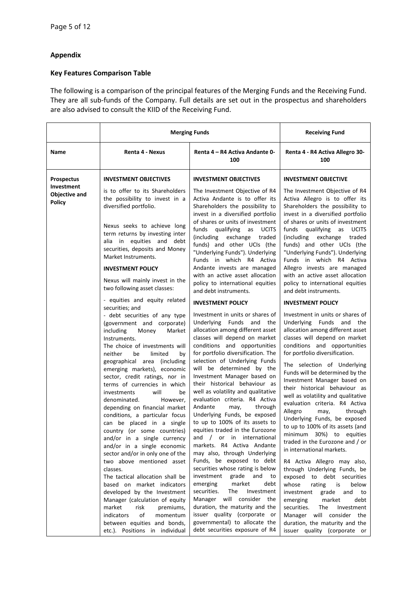# **Appendix**

## **Key Features Comparison Table**

The following is a comparison of the principal features of the Merging Funds and the Receiving Fund. They are all sub-funds of the Company. Full details are set out in the prospectus and shareholders are also advised to consult the KIID of the Receiving Fund.

|                                                         | <b>Merging Funds</b>                                                                                                                                                                                                                                                                                                                                                                                                                                                                                                                                                                                                                    |                                                                                                                                                                                                                                                                                                                                                                                                                                                                                                                                                                                                                                                                             | <b>Receiving Fund</b>                                                                                                                                                                                                                                                                                                                                                                                                                                                                                                                                                                                                                      |
|---------------------------------------------------------|-----------------------------------------------------------------------------------------------------------------------------------------------------------------------------------------------------------------------------------------------------------------------------------------------------------------------------------------------------------------------------------------------------------------------------------------------------------------------------------------------------------------------------------------------------------------------------------------------------------------------------------------|-----------------------------------------------------------------------------------------------------------------------------------------------------------------------------------------------------------------------------------------------------------------------------------------------------------------------------------------------------------------------------------------------------------------------------------------------------------------------------------------------------------------------------------------------------------------------------------------------------------------------------------------------------------------------------|--------------------------------------------------------------------------------------------------------------------------------------------------------------------------------------------------------------------------------------------------------------------------------------------------------------------------------------------------------------------------------------------------------------------------------------------------------------------------------------------------------------------------------------------------------------------------------------------------------------------------------------------|
| Name                                                    | Renta 4 - Nexus                                                                                                                                                                                                                                                                                                                                                                                                                                                                                                                                                                                                                         | Renta 4 – R4 Activa Andante 0-<br>100                                                                                                                                                                                                                                                                                                                                                                                                                                                                                                                                                                                                                                       | Renta 4 - R4 Activa Allegro 30-<br>100                                                                                                                                                                                                                                                                                                                                                                                                                                                                                                                                                                                                     |
| <b>Prospectus</b><br>Investment<br><b>Objective and</b> | <b>INVESTMENT OBJECTIVES</b><br>is to offer to its Shareholders                                                                                                                                                                                                                                                                                                                                                                                                                                                                                                                                                                         | <b>INVESTMENT OBJECTIVES</b><br>The Investment Objective of R4                                                                                                                                                                                                                                                                                                                                                                                                                                                                                                                                                                                                              | <b>INVESTMENT OBJECTIVE</b><br>The Investment Objective of R4                                                                                                                                                                                                                                                                                                                                                                                                                                                                                                                                                                              |
| <b>Policy</b>                                           | the possibility to invest in a<br>diversified portfolio.                                                                                                                                                                                                                                                                                                                                                                                                                                                                                                                                                                                | Activa Andante is to offer its<br>Shareholders the possibility to<br>invest in a diversified portfolio                                                                                                                                                                                                                                                                                                                                                                                                                                                                                                                                                                      | Activa Allegro is to offer its<br>Shareholders the possibility to<br>invest in a diversified portfolio                                                                                                                                                                                                                                                                                                                                                                                                                                                                                                                                     |
|                                                         | Nexus seeks to achieve long<br>term returns by investing inter<br>alia in equities and debt<br>securities, deposits and Money<br>Market Instruments.<br><b>INVESTMENT POLICY</b>                                                                                                                                                                                                                                                                                                                                                                                                                                                        | of shares or units of investment<br>funds qualifying as UCITS<br>(including exchange traded<br>funds) and other UCIs (the<br>"Underlying Funds"). Underlying<br>Funds in which R4 Activa<br>Andante invests are managed                                                                                                                                                                                                                                                                                                                                                                                                                                                     | of shares or units of investment<br>funds<br>qualifying as UCITS<br>(including exchange traded<br>funds) and other UCIs (the<br>"Underlying Funds"). Underlying<br>Funds in which R4 Activa<br>Allegro invests are managed                                                                                                                                                                                                                                                                                                                                                                                                                 |
|                                                         | Nexus will mainly invest in the<br>two following asset classes:                                                                                                                                                                                                                                                                                                                                                                                                                                                                                                                                                                         | with an active asset allocation<br>policy to international equities<br>and debt instruments.                                                                                                                                                                                                                                                                                                                                                                                                                                                                                                                                                                                | with an active asset allocation<br>policy to international equities<br>and debt instruments.                                                                                                                                                                                                                                                                                                                                                                                                                                                                                                                                               |
|                                                         | - equities and equity related<br>securities; and                                                                                                                                                                                                                                                                                                                                                                                                                                                                                                                                                                                        | <b>INVESTMENT POLICY</b>                                                                                                                                                                                                                                                                                                                                                                                                                                                                                                                                                                                                                                                    | <b>INVESTMENT POLICY</b>                                                                                                                                                                                                                                                                                                                                                                                                                                                                                                                                                                                                                   |
|                                                         | - debt securities of any type<br>(government and corporate)<br>Money<br>including<br>Market<br>Instruments.<br>The choice of investments will<br>neither<br>be<br>limited<br>bv<br>geographical area (including<br>emerging markets), economic<br>sector, credit ratings, nor in<br>terms of currencies in which<br>will<br>investments<br>be<br>denominated.<br>However,<br>depending on financial market<br>conditions, a particular focus<br>can be placed in a single<br>country (or some countries)<br>and/or in a single currency<br>and/or in a single economic<br>sector and/or in only one of the<br>two above mentioned asset | Investment in units or shares of<br>Underlying Funds and<br>the<br>allocation among different asset<br>classes will depend on market<br>conditions and opportunities<br>for portfolio diversification. The<br>selection of Underlying Funds<br>will be determined by the<br>Investment Manager based on<br>their historical behaviour as<br>well as volatility and qualitative<br>evaluation criteria. R4 Activa<br>Andante<br>may,<br>through<br>Underlying Funds, be exposed<br>to up to 100% of its assets to<br>equities traded in the Eurozone<br>and / or in international<br>markets. R4 Activa Andante<br>may also, through Underlying<br>Funds, be exposed to debt | Investment in units or shares of<br>Underlying Funds and the<br>allocation among different asset<br>classes will depend on market<br>conditions and opportunities<br>for portfolio diversification.<br>The selection of Underlying<br>Funds will be determined by the<br>Investment Manager based on<br>their historical behaviour as<br>well as volatility and qualitative<br>evaluation criteria. R4 Activa<br>Allegro<br>through<br>may,<br>Underlying Funds, be exposed<br>to up to 100% of its assets (and<br>minimum 30%) to equities<br>traded in the Eurozone and / or<br>in international markets.<br>R4 Activa Allegro may also, |
|                                                         | classes.<br>The tactical allocation shall be<br>based on market indicators<br>developed by the Investment<br>Manager (calculation of equity<br>market<br>risk<br>premiums,<br>indicators<br>of<br>momentum<br>between equities and bonds,<br>etc.). Positions in individual                                                                                                                                                                                                                                                                                                                                                             | securities whose rating is below<br>investment grade<br>and to<br>emerging<br>market<br>debt<br>securities.<br>The<br>Investment<br>Manager will consider the<br>duration, the maturity and the<br>issuer quality (corporate or<br>governmental) to allocate the<br>debt securities exposure of R4                                                                                                                                                                                                                                                                                                                                                                          | through Underlying Funds, be<br>exposed to debt securities<br>whose<br>rating<br>is<br>below<br>investment<br>grade<br>and to<br>emerging<br>market<br>debt<br>securities.<br>The<br>Investment<br>Manager will consider the<br>duration, the maturity and the<br>issuer quality (corporate or                                                                                                                                                                                                                                                                                                                                             |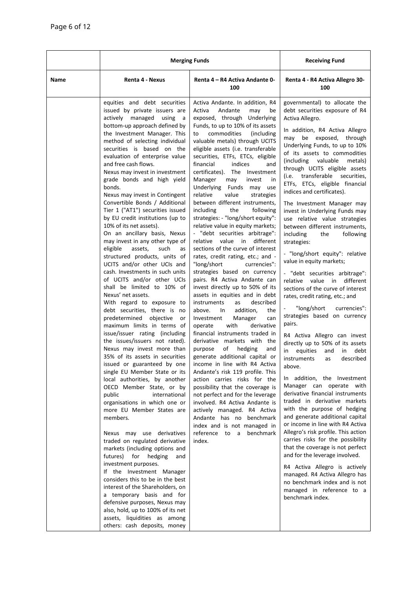|      | <b>Merging Funds</b>                                                                                                                                                                                                                                                                                                                                                                                                                                                                                                                                                                                                                                                                                                                                                                                                                                                                                                                                                                                                                                                                                                                                                                                                                                                                                                                                                                                                                                                                                                                                                                                                                                                                                                                                                              |                                                                                                                                                                                                                                                                                                                                                                                                                                                                                                                                                                                                                                                                                                                                                                                                                                                                                                                                                                                                                                                                                                                                                                                                                                                                                                                                                                                                                                                                                                                                                      | <b>Receiving Fund</b>                                                                                                                                                                                                                                                                                                                                                                                                                                                                                                                                                                                                                                                                                                                                                                                                                                                                                                                                                                                                                                                                                                                                                                                                                                                                                                                                                                                                                                                                                                                                                      |
|------|-----------------------------------------------------------------------------------------------------------------------------------------------------------------------------------------------------------------------------------------------------------------------------------------------------------------------------------------------------------------------------------------------------------------------------------------------------------------------------------------------------------------------------------------------------------------------------------------------------------------------------------------------------------------------------------------------------------------------------------------------------------------------------------------------------------------------------------------------------------------------------------------------------------------------------------------------------------------------------------------------------------------------------------------------------------------------------------------------------------------------------------------------------------------------------------------------------------------------------------------------------------------------------------------------------------------------------------------------------------------------------------------------------------------------------------------------------------------------------------------------------------------------------------------------------------------------------------------------------------------------------------------------------------------------------------------------------------------------------------------------------------------------------------|------------------------------------------------------------------------------------------------------------------------------------------------------------------------------------------------------------------------------------------------------------------------------------------------------------------------------------------------------------------------------------------------------------------------------------------------------------------------------------------------------------------------------------------------------------------------------------------------------------------------------------------------------------------------------------------------------------------------------------------------------------------------------------------------------------------------------------------------------------------------------------------------------------------------------------------------------------------------------------------------------------------------------------------------------------------------------------------------------------------------------------------------------------------------------------------------------------------------------------------------------------------------------------------------------------------------------------------------------------------------------------------------------------------------------------------------------------------------------------------------------------------------------------------------------|----------------------------------------------------------------------------------------------------------------------------------------------------------------------------------------------------------------------------------------------------------------------------------------------------------------------------------------------------------------------------------------------------------------------------------------------------------------------------------------------------------------------------------------------------------------------------------------------------------------------------------------------------------------------------------------------------------------------------------------------------------------------------------------------------------------------------------------------------------------------------------------------------------------------------------------------------------------------------------------------------------------------------------------------------------------------------------------------------------------------------------------------------------------------------------------------------------------------------------------------------------------------------------------------------------------------------------------------------------------------------------------------------------------------------------------------------------------------------------------------------------------------------------------------------------------------------|
| Name | Renta 4 - Nexus                                                                                                                                                                                                                                                                                                                                                                                                                                                                                                                                                                                                                                                                                                                                                                                                                                                                                                                                                                                                                                                                                                                                                                                                                                                                                                                                                                                                                                                                                                                                                                                                                                                                                                                                                                   | Renta 4 – R4 Activa Andante 0-<br>100                                                                                                                                                                                                                                                                                                                                                                                                                                                                                                                                                                                                                                                                                                                                                                                                                                                                                                                                                                                                                                                                                                                                                                                                                                                                                                                                                                                                                                                                                                                | Renta 4 - R4 Activa Allegro 30-<br>100                                                                                                                                                                                                                                                                                                                                                                                                                                                                                                                                                                                                                                                                                                                                                                                                                                                                                                                                                                                                                                                                                                                                                                                                                                                                                                                                                                                                                                                                                                                                     |
|      | equities and debt securities<br>issued by private issuers are<br>actively managed using<br>a a<br>bottom-up approach defined by<br>the Investment Manager. This<br>method of selecting individual<br>securities is based on the<br>evaluation of enterprise value<br>and free cash flows.<br>Nexus may invest in investment<br>grade bonds and high yield<br>bonds.<br>Nexus may invest in Contingent<br>Convertible Bonds / Additional<br>Tier 1 ("AT1") securities issued<br>by EU credit institutions (up to<br>10% of its net assets).<br>On an ancillary basis, Nexus<br>may invest in any other type of<br>eligible<br>assets,<br>such<br>as<br>structured products, units of<br>UCITS and/or other UCIs and<br>cash. Investments in such units<br>of UCITS and/or other UCIs<br>shall be limited to 10% of<br>Nexus' net assets.<br>With regard to exposure to<br>debt securities, there is no<br>predetermined<br>objective<br>or<br>maximum limits in terms of<br>issue/issuer rating (including<br>the issues/issuers not rated).<br>Nexus may invest more than<br>35% of its assets in securities<br>issued or guaranteed by one<br>single EU Member State or its<br>local authorities, by another<br>OECD Member State, or by<br>international<br>public<br>organisations in which one or<br>more EU Member States are<br>members.<br>Nexus may use derivatives<br>traded on regulated derivative<br>markets (including options and<br>futures) for<br>hedging<br>and<br>investment purposes.<br>If the Investment Manager<br>considers this to be in the best<br>interest of the Shareholders, on<br>a temporary basis and for<br>defensive purposes, Nexus may<br>also, hold, up to 100% of its net<br>assets, liquidities as among<br>others: cash deposits, money | Activa Andante. In addition, R4<br>Activa<br>Andante<br>may<br>be<br>exposed, through Underlying<br>Funds, to up to 10% of its assets<br>commodities<br>(including<br>to<br>valuable metals) through UCITS<br>eligible assets (i.e. transferable<br>securities, ETFs, ETCs, eligible<br>financial<br>indices<br>and<br>certificates). The Investment<br>Manager<br>may<br>invest<br>in.<br>Underlying Funds may use<br>relative<br>value<br>strategies<br>between different instruments,<br>including<br>the<br>following<br>strategies: - "long/short equity":<br>relative value in equity markets;<br>- "debt securities arbitrage":<br>relative value in different<br>sections of the curve of interest<br>rates, credit rating, etc.; and -<br>"long/short<br>currencies":<br>strategies based on currency<br>pairs. R4 Activa Andante can<br>invest directly up to 50% of its<br>assets in equities and in debt<br>instruments<br>described<br>as<br>addition,<br>above.<br>the<br>In<br>Investment<br>Manager<br>can<br>with<br>derivative<br>operate<br>financial instruments traded in<br>derivative markets with the<br>of<br>hedging<br>purpose<br>and<br>generate additional capital or<br>income in line with R4 Activa<br>Andante's risk 119 profile. This<br>action carries risks for the<br>possibility that the coverage is<br>not perfect and for the leverage<br>involved. R4 Activa Andante is<br>actively managed. R4 Activa<br>Andante has no benchmark<br>index and is not managed in<br>reference to a<br>benchmark<br>index. | governmental) to allocate the<br>debt securities exposure of R4<br>Activa Allegro.<br>In addition, R4 Activa Allegro<br>may be exposed,<br>through<br>Underlying Funds, to up to 10%<br>of its assets to commodities<br>(including<br>valuable<br>metals)<br>through UCITS eligible assets<br>(i.e. transferable securities,<br>ETFs, ETCs, eligible financial<br>indices and certificates).<br>The Investment Manager may<br>invest in Underlying Funds may<br>use relative value strategies<br>between different instruments,<br>including<br>the<br>following<br>strategies:<br>- "long/short equity": relative<br>value in equity markets;<br>- "debt securities arbitrage":<br>relative value in different<br>sections of the curve of interest<br>rates, credit rating, etc.; and<br>"long/short<br>currencies":<br>strategies based on currency<br>pairs.<br>R4 Activa Allegro can invest<br>directly up to 50% of its assets<br>equities<br>debt<br>in<br>and<br>in<br>described<br><i>instruments</i><br>as<br>above.<br>In addition, the Investment<br>Manager can operate with<br>derivative financial instruments<br>traded in derivative markets<br>with the purpose of hedging<br>and generate additional capital<br>or income in line with R4 Activa<br>Allegro's risk profile. This action<br>carries risks for the possibility<br>that the coverage is not perfect<br>and for the leverage involved.<br>R4 Activa Allegro is actively<br>managed. R4 Activa Allegro has<br>no benchmark index and is not<br>managed in reference to a<br>benchmark index. |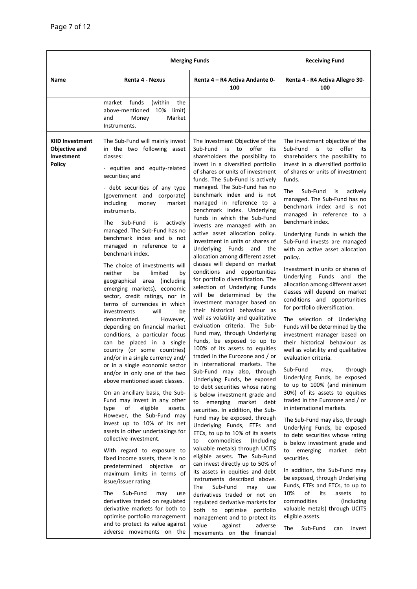|                                                                               | <b>Merging Funds</b>                                                                                                                                                                                                                                                                                                                                                                                                                                                                                                                                                                                                                                                                                                                                                                                                                                                                                                                                                                                                                                                                                                                                                                                                                                                                                                                                                                                                                                                                                                                        |                                                                                                                                                                                                                                                                                                                                                                                                                                                                                                                                                                                                                                                                                                                                                                                                                                                                                                                                                                                                                                                                                                                                                                                                                                                                                                                                                                                                                                                                                                                                                                                                                                                                                                                                                                                            | <b>Receiving Fund</b>                                                                                                                                                                                                                                                                                                                                                                                                                                                                                                                                                                                                                                                                                                                                                                                                                                                                                                                                                                                                                                                                                                                                                                                                                                                                                                                                                                                                                                                                                                      |
|-------------------------------------------------------------------------------|---------------------------------------------------------------------------------------------------------------------------------------------------------------------------------------------------------------------------------------------------------------------------------------------------------------------------------------------------------------------------------------------------------------------------------------------------------------------------------------------------------------------------------------------------------------------------------------------------------------------------------------------------------------------------------------------------------------------------------------------------------------------------------------------------------------------------------------------------------------------------------------------------------------------------------------------------------------------------------------------------------------------------------------------------------------------------------------------------------------------------------------------------------------------------------------------------------------------------------------------------------------------------------------------------------------------------------------------------------------------------------------------------------------------------------------------------------------------------------------------------------------------------------------------|--------------------------------------------------------------------------------------------------------------------------------------------------------------------------------------------------------------------------------------------------------------------------------------------------------------------------------------------------------------------------------------------------------------------------------------------------------------------------------------------------------------------------------------------------------------------------------------------------------------------------------------------------------------------------------------------------------------------------------------------------------------------------------------------------------------------------------------------------------------------------------------------------------------------------------------------------------------------------------------------------------------------------------------------------------------------------------------------------------------------------------------------------------------------------------------------------------------------------------------------------------------------------------------------------------------------------------------------------------------------------------------------------------------------------------------------------------------------------------------------------------------------------------------------------------------------------------------------------------------------------------------------------------------------------------------------------------------------------------------------------------------------------------------------|----------------------------------------------------------------------------------------------------------------------------------------------------------------------------------------------------------------------------------------------------------------------------------------------------------------------------------------------------------------------------------------------------------------------------------------------------------------------------------------------------------------------------------------------------------------------------------------------------------------------------------------------------------------------------------------------------------------------------------------------------------------------------------------------------------------------------------------------------------------------------------------------------------------------------------------------------------------------------------------------------------------------------------------------------------------------------------------------------------------------------------------------------------------------------------------------------------------------------------------------------------------------------------------------------------------------------------------------------------------------------------------------------------------------------------------------------------------------------------------------------------------------------|
| Name                                                                          | Renta 4 - Nexus                                                                                                                                                                                                                                                                                                                                                                                                                                                                                                                                                                                                                                                                                                                                                                                                                                                                                                                                                                                                                                                                                                                                                                                                                                                                                                                                                                                                                                                                                                                             | Renta 4 – R4 Activa Andante 0-<br>100                                                                                                                                                                                                                                                                                                                                                                                                                                                                                                                                                                                                                                                                                                                                                                                                                                                                                                                                                                                                                                                                                                                                                                                                                                                                                                                                                                                                                                                                                                                                                                                                                                                                                                                                                      | Renta 4 - R4 Activa Allegro 30-<br>100                                                                                                                                                                                                                                                                                                                                                                                                                                                                                                                                                                                                                                                                                                                                                                                                                                                                                                                                                                                                                                                                                                                                                                                                                                                                                                                                                                                                                                                                                     |
|                                                                               | funds<br>(within<br>the<br>market<br>above-mentioned<br>10% limit)<br>Market<br>and<br>Money<br>Instruments.                                                                                                                                                                                                                                                                                                                                                                                                                                                                                                                                                                                                                                                                                                                                                                                                                                                                                                                                                                                                                                                                                                                                                                                                                                                                                                                                                                                                                                |                                                                                                                                                                                                                                                                                                                                                                                                                                                                                                                                                                                                                                                                                                                                                                                                                                                                                                                                                                                                                                                                                                                                                                                                                                                                                                                                                                                                                                                                                                                                                                                                                                                                                                                                                                                            |                                                                                                                                                                                                                                                                                                                                                                                                                                                                                                                                                                                                                                                                                                                                                                                                                                                                                                                                                                                                                                                                                                                                                                                                                                                                                                                                                                                                                                                                                                                            |
| <b>KIID Investment</b><br><b>Objective and</b><br>Investment<br><b>Policy</b> | The Sub-Fund will mainly invest<br>in the two following asset<br>classes:<br>- equities and equity-related<br>securities; and<br>- debt securities of any type<br>(government and corporate)<br>including<br>money<br>market<br>instruments.<br>The<br>Sub-Fund<br>actively<br>is<br>managed. The Sub-Fund has no<br>benchmark index and is not<br>managed in reference to a<br>benchmark index.<br>The choice of investments will<br>neither<br>be<br>limited<br>by<br>geographical area (including<br>emerging markets), economic<br>sector, credit ratings, nor in<br>terms of currencies in which<br>investments<br>will<br>be<br>denominated.<br>However,<br>depending on financial market<br>conditions, a particular focus<br>can be placed in a single<br>country (or some countries)<br>and/or in a single currency and/<br>or in a single economic sector<br>and/or in only one of the two<br>above mentioned asset classes.<br>On an ancillary basis, the Sub-<br>Fund may invest in any other<br>eligible<br>assets.<br>type<br>of<br>However, the Sub-Fund may<br>invest up to 10% of its net<br>assets in other undertakings for<br>collective investment.<br>With regard to exposure to<br>fixed income assets, there is no<br>predetermined<br>objective<br>or<br>maximum limits in terms of<br>issue/issuer rating.<br>The<br>Sub-Fund<br>may<br>use<br>derivatives traded on regulated<br>derivative markets for both to<br>optimise portfolio management<br>and to protect its value against<br>adverse movements on the | The Investment Objective of the<br>Sub-Fund<br>is to<br>offer<br>its<br>shareholders the possibility to<br>invest in a diversified portfolio<br>of shares or units of investment<br>funds. The Sub-Fund is actively<br>managed. The Sub-Fund has no<br>benchmark index and is not<br>managed in reference to a<br>benchmark index. Underlying<br>Funds in which the Sub-Fund<br>invests are managed with an<br>active asset allocation policy.<br>Investment in units or shares of<br>Underlying Funds and the<br>allocation among different asset<br>classes will depend on market<br>conditions and opportunities<br>for portfolio diversification. The<br>selection of Underlying Funds<br>will be determined by the<br>investment manager based on<br>their historical behaviour as<br>well as volatility and qualitative<br>evaluation criteria. The Sub-<br>Fund may, through Underlying<br>Funds, be exposed to up to<br>100% of its assets to equities<br>traded in the Eurozone and / or<br>in international markets. The<br>Sub-Fund may also, through<br>Underlying Funds, be exposed<br>to debt securities whose rating<br>is below investment grade and<br>emerging<br>market debt<br>to<br>securities. In addition, the Sub-<br>Fund may be exposed, through<br>Underlying Funds, ETFs and<br>ETCs, to up to 10% of its assets<br>commodities<br>(Including<br>to<br>valuable metals) through UCITS<br>eligible assets. The Sub-Fund<br>can invest directly up to 50% of<br>its assets in equities and debt<br>instruments described above.<br>The<br>Sub-Fund<br>may<br>use<br>derivatives traded or not on<br>regulated derivative markets for<br>both to optimise portfolio<br>management and to protect its<br>value<br>against<br>adverse<br>movements on the financial | The investment objective of the<br>Sub-Fund<br>is to<br>offer its<br>shareholders the possibility to<br>invest in a diversified portfolio<br>of shares or units of investment<br>funds.<br>Sub-Fund<br>The<br>is<br>actively<br>managed. The Sub-Fund has no<br>benchmark index and is not<br>managed in reference to a<br>benchmark index.<br>Underlying Funds in which the<br>Sub-Fund invests are managed<br>with an active asset allocation<br>policy.<br>Investment in units or shares of<br>Underlying<br>Funds and the<br>allocation among different asset<br>classes will depend on market<br>conditions and opportunities<br>for portfolio diversification.<br>The selection of Underlying<br>Funds will be determined by the<br>investment manager based on<br>their historical behaviour as<br>well as volatility and qualitative<br>evaluation criteria.<br>through<br>Sub-Fund<br>may,<br>Underlying Funds, be exposed<br>to up to 100% (and minimum<br>30%) of its assets to equities<br>traded in the Eurozone and / or<br>in international markets.<br>The Sub-Fund may also, through<br>Underlying Funds, be exposed<br>to debt securities whose rating<br>is below investment grade and<br>to emerging<br>market<br>debt<br>securities.<br>In addition, the Sub-Fund may<br>be exposed, through Underlying<br>Funds, ETFs and ETCs, to up to<br>of<br>10%<br>its<br>assets<br>to<br>commodities<br>(Including)<br>valuable metals) through UCITS<br>eligible assets.<br>The<br>Sub-Fund<br>invest<br>can |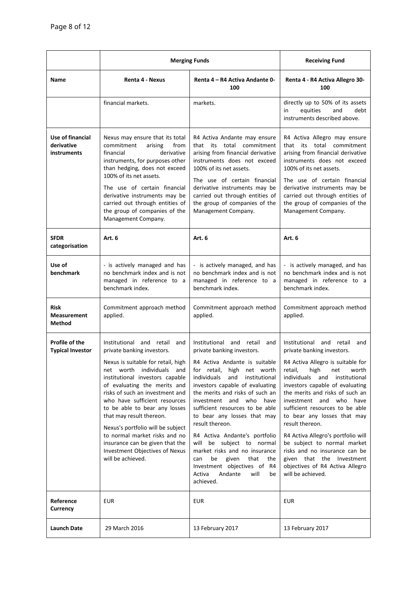|                                                      | <b>Merging Funds</b>                                                                                                                                                                                                                                                                                                                                                                                                                                                                                 |                                                                                                                                                                                                                                                                                                                                                                                                                                                                                                                                                                                 | <b>Receiving Fund</b>                                                                                                                                                                                                                                                                                                                                                                                                                                                                                                                                   |
|------------------------------------------------------|------------------------------------------------------------------------------------------------------------------------------------------------------------------------------------------------------------------------------------------------------------------------------------------------------------------------------------------------------------------------------------------------------------------------------------------------------------------------------------------------------|---------------------------------------------------------------------------------------------------------------------------------------------------------------------------------------------------------------------------------------------------------------------------------------------------------------------------------------------------------------------------------------------------------------------------------------------------------------------------------------------------------------------------------------------------------------------------------|---------------------------------------------------------------------------------------------------------------------------------------------------------------------------------------------------------------------------------------------------------------------------------------------------------------------------------------------------------------------------------------------------------------------------------------------------------------------------------------------------------------------------------------------------------|
| Name                                                 | Renta 4 - Nexus                                                                                                                                                                                                                                                                                                                                                                                                                                                                                      | Renta 4 – R4 Activa Andante 0-<br>100                                                                                                                                                                                                                                                                                                                                                                                                                                                                                                                                           | Renta 4 - R4 Activa Allegro 30-<br>100                                                                                                                                                                                                                                                                                                                                                                                                                                                                                                                  |
|                                                      | financial markets.                                                                                                                                                                                                                                                                                                                                                                                                                                                                                   | markets.                                                                                                                                                                                                                                                                                                                                                                                                                                                                                                                                                                        | directly up to 50% of its assets<br>equities<br>in<br>and<br>debt<br>instruments described above.                                                                                                                                                                                                                                                                                                                                                                                                                                                       |
| Use of financial<br>derivative<br><b>instruments</b> | Nexus may ensure that its total<br>commitment<br>arising<br>from<br>financial<br>derivative<br>instruments, for purposes other<br>than hedging, does not exceed<br>100% of its net assets.<br>The use of certain financial<br>derivative instruments may be<br>carried out through entities of<br>the group of companies of the<br>Management Company.                                                                                                                                               | R4 Activa Andante may ensure<br>that its total commitment<br>arising from financial derivative<br>instruments does not exceed<br>100% of its net assets.<br>The use of certain financial<br>derivative instruments may be<br>carried out through entities of<br>the group of companies of the<br>Management Company.                                                                                                                                                                                                                                                            | R4 Activa Allegro may ensure<br>that its total commitment<br>arising from financial derivative<br>instruments does not exceed<br>100% of its net assets.<br>The use of certain financial<br>derivative instruments may be<br>carried out through entities of<br>the group of companies of the<br>Management Company.                                                                                                                                                                                                                                    |
| <b>SFDR</b><br>categorisation                        | Art. 6                                                                                                                                                                                                                                                                                                                                                                                                                                                                                               | Art. 6                                                                                                                                                                                                                                                                                                                                                                                                                                                                                                                                                                          | Art. 6                                                                                                                                                                                                                                                                                                                                                                                                                                                                                                                                                  |
| Use of<br>benchmark                                  | - is actively managed and has<br>no benchmark index and is not<br>managed in reference to a<br>benchmark index.                                                                                                                                                                                                                                                                                                                                                                                      | - is actively managed, and has<br>no benchmark index and is not<br>managed in reference to a<br>benchmark index.                                                                                                                                                                                                                                                                                                                                                                                                                                                                | - is actively managed, and has<br>no benchmark index and is not<br>managed in reference to a<br>benchmark index.                                                                                                                                                                                                                                                                                                                                                                                                                                        |
| <b>Risk</b><br><b>Measurement</b><br><b>Method</b>   | Commitment approach method<br>applied.                                                                                                                                                                                                                                                                                                                                                                                                                                                               | Commitment approach method<br>applied.                                                                                                                                                                                                                                                                                                                                                                                                                                                                                                                                          | Commitment approach method<br>applied.                                                                                                                                                                                                                                                                                                                                                                                                                                                                                                                  |
| Profile of the<br><b>Typical Investor</b>            | Institutional and retail<br>and<br>private banking investors.<br>Nexus is suitable for retail, high<br>net worth individuals and<br>institutional investors capable<br>of evaluating the merits and<br>risks of such an investment and<br>who have sufficient resources<br>to be able to bear any losses<br>that may result thereon.<br>Nexus's portfolio will be subject<br>to normal market risks and no<br>insurance can be given that the<br>Investment Objectives of Nexus<br>will be achieved. | Institutional<br>and retail<br>and<br>private banking investors.<br>R4 Activa Andante is suitable<br>for retail, high net worth<br>individuals<br>and<br>institutional<br>investors capable of evaluating<br>the merits and risks of such an<br>investment and who have<br>sufficient resources to be able<br>to bear any losses that may<br>result thereon.<br>R4 Activa Andante's portfolio<br>will be subject to normal<br>market risks and no insurance<br>given<br>that<br>be<br>the<br>can<br>Investment objectives of R4<br>Activa<br>Andante<br>will<br>be<br>achieved. | Institutional and retail<br>and<br>private banking investors.<br>R4 Activa Allegro is suitable for<br>retail,<br>high<br>net<br>worth<br>individuals and institutional<br>investors capable of evaluating<br>the merits and risks of such an<br>investment and who have<br>sufficient resources to be able<br>to bear any losses that may<br>result thereon.<br>R4 Activa Allegro's portfolio will<br>be subject to normal market<br>risks and no insurance can be<br>given that the Investment<br>objectives of R4 Activa Allegro<br>will be achieved. |
| Reference<br>Currency                                | <b>EUR</b>                                                                                                                                                                                                                                                                                                                                                                                                                                                                                           | <b>EUR</b>                                                                                                                                                                                                                                                                                                                                                                                                                                                                                                                                                                      | <b>EUR</b>                                                                                                                                                                                                                                                                                                                                                                                                                                                                                                                                              |
| Launch Date                                          | 29 March 2016                                                                                                                                                                                                                                                                                                                                                                                                                                                                                        | 13 February 2017                                                                                                                                                                                                                                                                                                                                                                                                                                                                                                                                                                | 13 February 2017                                                                                                                                                                                                                                                                                                                                                                                                                                                                                                                                        |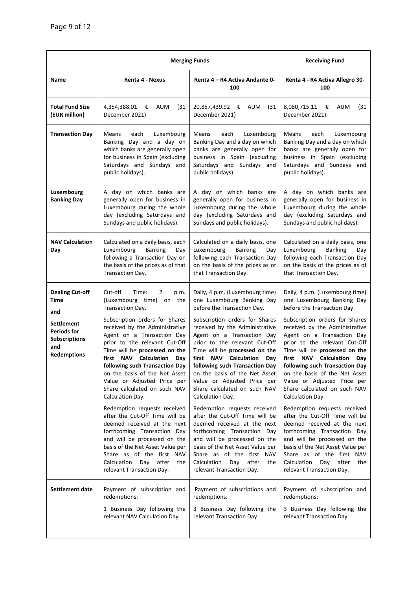|                                                                                              | <b>Merging Funds</b>                                                                                                                                                                                                                                                                                                                                                                                                                                                                                                   |                                                                                                                                                                                                                                                                                                                                                                                                                                                                                                                                  | <b>Receiving Fund</b>                                                                                                                                                                                                                                                                                                                                                                                                                                                                                                  |
|----------------------------------------------------------------------------------------------|------------------------------------------------------------------------------------------------------------------------------------------------------------------------------------------------------------------------------------------------------------------------------------------------------------------------------------------------------------------------------------------------------------------------------------------------------------------------------------------------------------------------|----------------------------------------------------------------------------------------------------------------------------------------------------------------------------------------------------------------------------------------------------------------------------------------------------------------------------------------------------------------------------------------------------------------------------------------------------------------------------------------------------------------------------------|------------------------------------------------------------------------------------------------------------------------------------------------------------------------------------------------------------------------------------------------------------------------------------------------------------------------------------------------------------------------------------------------------------------------------------------------------------------------------------------------------------------------|
| Name                                                                                         | Renta 4 - Nexus                                                                                                                                                                                                                                                                                                                                                                                                                                                                                                        | Renta 4 – R4 Activa Andante 0-<br>100                                                                                                                                                                                                                                                                                                                                                                                                                                                                                            | Renta 4 - R4 Activa Allegro 30-<br>100                                                                                                                                                                                                                                                                                                                                                                                                                                                                                 |
| <b>Total Fund Size</b><br>(EUR million)                                                      | 4,354,388.01<br>€<br>AUM<br>(31<br>December 2021)                                                                                                                                                                                                                                                                                                                                                                                                                                                                      | 20,857,439.92 €<br>AUM<br>(31)<br>December 2021)                                                                                                                                                                                                                                                                                                                                                                                                                                                                                 | 8,080,715.11 €<br>AUM<br>(31)<br>December 2021)                                                                                                                                                                                                                                                                                                                                                                                                                                                                        |
| <b>Transaction Day</b>                                                                       | <b>Means</b><br>each<br>Luxembourg<br>Banking Day and a day on<br>which banks are generally open<br>for business in Spain (excluding<br>Saturdays and Sundays and<br>public holidays).                                                                                                                                                                                                                                                                                                                                 | Means<br>each<br>Luxembourg<br>Banking Day and a day on which<br>banks are generally open for<br>business in Spain (excluding<br>Saturdays and Sundays and<br>public holidays).                                                                                                                                                                                                                                                                                                                                                  | each<br>Luxembourg<br>Means<br>Banking Day and a day on which<br>banks are generally open for<br>business in Spain (excluding<br>Saturdays and Sundays and<br>public holidays).                                                                                                                                                                                                                                                                                                                                        |
| Luxembourg<br><b>Banking Day</b>                                                             | A day on which banks are<br>generally open for business in<br>Luxembourg during the whole<br>day (excluding Saturdays and<br>Sundays and public holidays).                                                                                                                                                                                                                                                                                                                                                             | A day on which banks are<br>generally open for business in<br>Luxembourg during the whole<br>day (excluding Saturdays and<br>Sundays and public holidays).                                                                                                                                                                                                                                                                                                                                                                       | A day on which banks are<br>generally open for business in<br>Luxembourg during the whole<br>day (excluding Saturdays and<br>Sundays and public holidays).                                                                                                                                                                                                                                                                                                                                                             |
| <b>NAV Calculation</b><br>Day                                                                | Calculated on a daily basis, each<br>Luxembourg<br><b>Banking</b><br>Day<br>following a Transaction Day on<br>the basis of the prices as of that<br>Transaction Day.                                                                                                                                                                                                                                                                                                                                                   | Calculated on a daily basis, one<br>Luxembourg<br><b>Banking</b><br>Day<br>following each Transaction Day<br>on the basis of the prices as of<br>that Transaction Day.                                                                                                                                                                                                                                                                                                                                                           | Calculated on a daily basis, one<br>Luxembourg<br><b>Banking</b><br>Day<br>following each Transaction Day<br>on the basis of the prices as of<br>that Transaction Day.                                                                                                                                                                                                                                                                                                                                                 |
| <b>Dealing Cut-off</b><br>Time<br>and                                                        | Cut-off<br>$\overline{2}$<br>Time:<br>p.m.<br>(Luxembourg time) on the<br>Transaction Day.                                                                                                                                                                                                                                                                                                                                                                                                                             | Daily, 4 p.m. (Luxembourg time)<br>one Luxembourg Banking Day<br>before the Transaction Day.                                                                                                                                                                                                                                                                                                                                                                                                                                     | Daily, 4 p.m. (Luxembourg time)<br>one Luxembourg Banking Day<br>before the Transaction Day.                                                                                                                                                                                                                                                                                                                                                                                                                           |
| <b>Settlement</b><br><b>Periods for</b><br><b>Subscriptions</b><br>and<br><b>Redemptions</b> | Subscription orders for Shares<br>received by the Administrative<br>Agent on a Transaction Day<br>prior to the relevant Cut-Off<br>Time will be processed on the<br>first NAV Calculation<br>Day<br>following such Transaction Day<br>on the basis of the Net Asset<br>Value or Adjusted Price per<br>Share calculated on such NAV<br>Calculation Day.<br>Redemption requests received<br>after the Cut-Off Time will be<br>deemed received at the next<br>forthcoming Transaction Day<br>and will be processed on the | Subscription orders for Shares<br>received by the Administrative<br>Agent on a Transaction Day<br>prior to the relevant Cut-Off<br>Time will be processed on the<br><b>NAV</b> Calculation<br>first<br>Day<br>following such Transaction Day<br>on the basis of the Net Asset<br>Value or Adjusted Price per<br>Share calculated on such NAV<br>Calculation Day.<br>Redemption requests received<br>after the Cut-Off Time will be<br>deemed received at the next<br>forthcoming Transaction Day<br>and will be processed on the | Subscription orders for Shares<br>received by the Administrative<br>Agent on a Transaction Day<br>prior to the relevant Cut-Off<br>Time will be processed on the<br>first NAV Calculation<br>Day<br>following such Transaction Day<br>on the basis of the Net Asset<br>Value or Adjusted Price per<br>Share calculated on such NAV<br>Calculation Day.<br>Redemption requests received<br>after the Cut-Off Time will be<br>deemed received at the next<br>forthcoming Transaction Day<br>and will be processed on the |
|                                                                                              | basis of the Net Asset Value per<br>Share as of the first NAV<br>Calculation Day<br>after<br>the<br>relevant Transaction Day.                                                                                                                                                                                                                                                                                                                                                                                          | basis of the Net Asset Value per<br>Share as of the first NAV<br>Calculation<br>Day<br>after<br>the<br>relevant Transaction Day.                                                                                                                                                                                                                                                                                                                                                                                                 | basis of the Net Asset Value per<br>Share as of the first NAV<br>Calculation<br>Day<br>after<br>the<br>relevant Transaction Day.                                                                                                                                                                                                                                                                                                                                                                                       |
| <b>Settlement date</b>                                                                       | Payment of subscription and<br>redemptions:<br>1 Business Day following the<br>relevant NAV Calculation Day                                                                                                                                                                                                                                                                                                                                                                                                            | Payment of subscriptions and<br>redemptions:<br>3 Business Day following the<br>relevant Transaction Day                                                                                                                                                                                                                                                                                                                                                                                                                         | Payment of subscription and<br>redemptions:<br>3 Business Day following the<br>relevant Transaction Day                                                                                                                                                                                                                                                                                                                                                                                                                |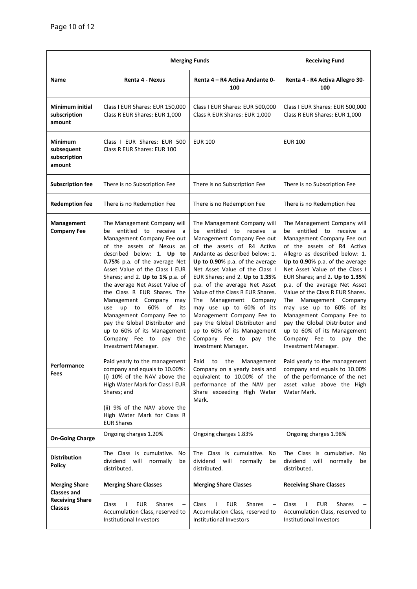|                                                  | <b>Merging Funds</b>                                                                                                                                                                                                                                                                                                                                                                                                                                                                                                                             |                                                                                                                                                                                                                                                                                                                                                                                                                                                                                                                                                   | <b>Receiving Fund</b>                                                                                                                                                                                                                                                                                                                                                                                                                                                                                                                           |
|--------------------------------------------------|--------------------------------------------------------------------------------------------------------------------------------------------------------------------------------------------------------------------------------------------------------------------------------------------------------------------------------------------------------------------------------------------------------------------------------------------------------------------------------------------------------------------------------------------------|---------------------------------------------------------------------------------------------------------------------------------------------------------------------------------------------------------------------------------------------------------------------------------------------------------------------------------------------------------------------------------------------------------------------------------------------------------------------------------------------------------------------------------------------------|-------------------------------------------------------------------------------------------------------------------------------------------------------------------------------------------------------------------------------------------------------------------------------------------------------------------------------------------------------------------------------------------------------------------------------------------------------------------------------------------------------------------------------------------------|
| Name                                             | Renta 4 - Nexus                                                                                                                                                                                                                                                                                                                                                                                                                                                                                                                                  | Renta 4 – R4 Activa Andante 0-<br>100                                                                                                                                                                                                                                                                                                                                                                                                                                                                                                             | Renta 4 - R4 Activa Allegro 30-<br>100                                                                                                                                                                                                                                                                                                                                                                                                                                                                                                          |
| <b>Minimum initial</b><br>subscription<br>amount | Class I EUR Shares: EUR 150,000<br>Class R EUR Shares: EUR 1,000                                                                                                                                                                                                                                                                                                                                                                                                                                                                                 | Class I EUR Shares: EUR 500,000<br>Class R EUR Shares: EUR 1,000                                                                                                                                                                                                                                                                                                                                                                                                                                                                                  | Class I EUR Shares: EUR 500,000<br>Class R EUR Shares: EUR 1,000                                                                                                                                                                                                                                                                                                                                                                                                                                                                                |
| Minimum<br>subsequent<br>subscription<br>amount  | Class I EUR Shares: EUR 500<br>Class R EUR Shares: EUR 100                                                                                                                                                                                                                                                                                                                                                                                                                                                                                       | <b>EUR 100</b>                                                                                                                                                                                                                                                                                                                                                                                                                                                                                                                                    | <b>EUR 100</b>                                                                                                                                                                                                                                                                                                                                                                                                                                                                                                                                  |
| <b>Subscription fee</b>                          | There is no Subscription Fee                                                                                                                                                                                                                                                                                                                                                                                                                                                                                                                     | There is no Subscription Fee                                                                                                                                                                                                                                                                                                                                                                                                                                                                                                                      | There is no Subscription Fee                                                                                                                                                                                                                                                                                                                                                                                                                                                                                                                    |
| <b>Redemption fee</b>                            | There is no Redemption Fee                                                                                                                                                                                                                                                                                                                                                                                                                                                                                                                       | There is no Redemption Fee                                                                                                                                                                                                                                                                                                                                                                                                                                                                                                                        | There is no Redemption Fee                                                                                                                                                                                                                                                                                                                                                                                                                                                                                                                      |
| Management<br><b>Company Fee</b>                 | The Management Company will<br>entitled to receive<br>be<br>a<br>Management Company Fee out<br>of the assets of Nexus as<br>described below: 1. Up to<br><b>0.75%</b> p.a. of the average Net<br>Asset Value of the Class I EUR<br>Shares; and 2. Up to 1% p.a. of<br>the average Net Asset Value of<br>the Class R EUR Shares. The<br>Management Company may<br>to 60%<br>up<br>of<br>use<br>its<br>Management Company Fee to<br>pay the Global Distributor and<br>up to 60% of its Management<br>Company Fee to pay the<br>Investment Manager. | The Management Company will<br>entitled to receive<br>be<br>a a<br>Management Company Fee out<br>of the assets of R4 Activa<br>Andante as described below: 1.<br>Up to 0.90% p.a. of the average<br>Net Asset Value of the Class I<br>EUR Shares; and 2. Up to 1.35%<br>p.a. of the average Net Asset<br>Value of the Class R EUR Shares.<br>Management Company<br>The<br>may use up to 60% of its<br>Management Company Fee to<br>pay the Global Distributor and<br>up to 60% of its Management<br>Company Fee to pay the<br>Investment Manager. | The Management Company will<br>entitled<br>to receive a<br>be<br>Management Company Fee out<br>of the assets of R4 Activa<br>Allegro as described below: 1.<br>Up to 0.90% p.a. of the average<br>Net Asset Value of the Class I<br>EUR Shares; and 2. Up to 1.35%<br>p.a. of the average Net Asset<br>Value of the Class R EUR Shares.<br>Management Company<br>The<br>may use up to 60% of its<br>Management Company Fee to<br>pay the Global Distributor and<br>up to 60% of its Management<br>Company Fee to pay the<br>Investment Manager. |
| Performance<br>Fees                              | Paid yearly to the management<br>company and equals to 10.00%:<br>(i) 10% of the NAV above the<br>High Water Mark for Class I EUR<br>Shares; and<br>(ii) 9% of the NAV above the<br>High Water Mark for Class R<br><b>EUR Shares</b>                                                                                                                                                                                                                                                                                                             | Paid<br>the<br>Management<br>to<br>Company on a yearly basis and<br>equivalent to 10.00% of the<br>performance of the NAV per<br>Share exceeding High Water<br>Mark.                                                                                                                                                                                                                                                                                                                                                                              | Paid yearly to the management<br>company and equals to 10.00%<br>of the performance of the net<br>asset value above the High<br>Water Mark.                                                                                                                                                                                                                                                                                                                                                                                                     |
| <b>On-Going Charge</b>                           | Ongoing charges 1.20%                                                                                                                                                                                                                                                                                                                                                                                                                                                                                                                            | Ongoing charges 1.83%                                                                                                                                                                                                                                                                                                                                                                                                                                                                                                                             | Ongoing charges 1.98%                                                                                                                                                                                                                                                                                                                                                                                                                                                                                                                           |
| <b>Distribution</b><br><b>Policy</b>             | The Class is cumulative.<br>No<br>dividend<br>will<br>normally<br>be<br>distributed.                                                                                                                                                                                                                                                                                                                                                                                                                                                             | The Class is cumulative.<br>No<br>dividend<br>will<br>normally<br>be<br>distributed.                                                                                                                                                                                                                                                                                                                                                                                                                                                              | The Class is cumulative.<br>No<br>dividend<br>will<br>normally<br>be<br>distributed.                                                                                                                                                                                                                                                                                                                                                                                                                                                            |
| <b>Merging Share</b><br><b>Classes and</b>       | <b>Merging Share Classes</b>                                                                                                                                                                                                                                                                                                                                                                                                                                                                                                                     | <b>Merging Share Classes</b>                                                                                                                                                                                                                                                                                                                                                                                                                                                                                                                      | <b>Receiving Share Classes</b>                                                                                                                                                                                                                                                                                                                                                                                                                                                                                                                  |
| <b>Receiving Share</b><br><b>Classes</b>         | <b>Shares</b><br>Class<br>EUR<br>$\mathbf{I}$<br>Accumulation Class, reserved to<br>Institutional Investors                                                                                                                                                                                                                                                                                                                                                                                                                                      | <b>Shares</b><br>Class<br>EUR<br>Accumulation Class, reserved to<br>Institutional Investors                                                                                                                                                                                                                                                                                                                                                                                                                                                       | <b>Shares</b><br>Class<br>EUR<br>Accumulation Class, reserved to<br>Institutional Investors                                                                                                                                                                                                                                                                                                                                                                                                                                                     |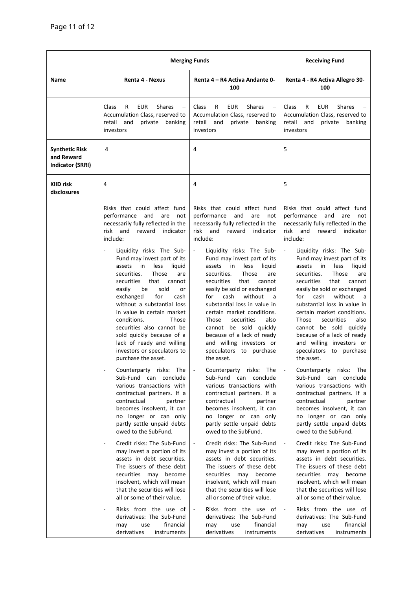|                                                                | <b>Merging Funds</b>                                                                                                                                                                                                                                                                                                                                                                                                                                                                                                                                                                                                                                                                                                                                                                                                                                                                                                                                                                                                                                                                                                                                                                                                                                    |                                                                                                                                                                                                                                                                                                                                                                                                                                                                                                                                                                                                                                                                                                                                                                                                                                                                                                                                                                                                                                                                                                                                                                                                                                   | <b>Receiving Fund</b>                                                                                                                                                                                                                                                                                                                                                                                                                                                                                                                                                                                                                                                                                                                                                                                                                                                                                                                                                                                                                                                                                                                                                                                        |
|----------------------------------------------------------------|---------------------------------------------------------------------------------------------------------------------------------------------------------------------------------------------------------------------------------------------------------------------------------------------------------------------------------------------------------------------------------------------------------------------------------------------------------------------------------------------------------------------------------------------------------------------------------------------------------------------------------------------------------------------------------------------------------------------------------------------------------------------------------------------------------------------------------------------------------------------------------------------------------------------------------------------------------------------------------------------------------------------------------------------------------------------------------------------------------------------------------------------------------------------------------------------------------------------------------------------------------|-----------------------------------------------------------------------------------------------------------------------------------------------------------------------------------------------------------------------------------------------------------------------------------------------------------------------------------------------------------------------------------------------------------------------------------------------------------------------------------------------------------------------------------------------------------------------------------------------------------------------------------------------------------------------------------------------------------------------------------------------------------------------------------------------------------------------------------------------------------------------------------------------------------------------------------------------------------------------------------------------------------------------------------------------------------------------------------------------------------------------------------------------------------------------------------------------------------------------------------|--------------------------------------------------------------------------------------------------------------------------------------------------------------------------------------------------------------------------------------------------------------------------------------------------------------------------------------------------------------------------------------------------------------------------------------------------------------------------------------------------------------------------------------------------------------------------------------------------------------------------------------------------------------------------------------------------------------------------------------------------------------------------------------------------------------------------------------------------------------------------------------------------------------------------------------------------------------------------------------------------------------------------------------------------------------------------------------------------------------------------------------------------------------------------------------------------------------|
| <b>Name</b>                                                    | Renta 4 - Nexus                                                                                                                                                                                                                                                                                                                                                                                                                                                                                                                                                                                                                                                                                                                                                                                                                                                                                                                                                                                                                                                                                                                                                                                                                                         | Renta 4 – R4 Activa Andante 0-<br>100                                                                                                                                                                                                                                                                                                                                                                                                                                                                                                                                                                                                                                                                                                                                                                                                                                                                                                                                                                                                                                                                                                                                                                                             | Renta 4 - R4 Activa Allegro 30-<br>100                                                                                                                                                                                                                                                                                                                                                                                                                                                                                                                                                                                                                                                                                                                                                                                                                                                                                                                                                                                                                                                                                                                                                                       |
|                                                                | R<br><b>EUR</b><br><b>Shares</b><br>Class<br>Accumulation Class, reserved to<br>retail<br>and<br>private<br>banking<br>investors                                                                                                                                                                                                                                                                                                                                                                                                                                                                                                                                                                                                                                                                                                                                                                                                                                                                                                                                                                                                                                                                                                                        | Class<br><b>EUR</b><br>R<br><b>Shares</b><br>Accumulation Class, reserved to<br>retail<br>and<br>private<br>banking<br>investors                                                                                                                                                                                                                                                                                                                                                                                                                                                                                                                                                                                                                                                                                                                                                                                                                                                                                                                                                                                                                                                                                                  | Class<br><b>EUR</b><br><b>Shares</b><br>R<br>Accumulation Class, reserved to<br>retail<br>and<br>private<br>banking<br>investors                                                                                                                                                                                                                                                                                                                                                                                                                                                                                                                                                                                                                                                                                                                                                                                                                                                                                                                                                                                                                                                                             |
| <b>Synthetic Risk</b><br>and Reward<br><b>Indicator (SRRI)</b> | 4                                                                                                                                                                                                                                                                                                                                                                                                                                                                                                                                                                                                                                                                                                                                                                                                                                                                                                                                                                                                                                                                                                                                                                                                                                                       | 4                                                                                                                                                                                                                                                                                                                                                                                                                                                                                                                                                                                                                                                                                                                                                                                                                                                                                                                                                                                                                                                                                                                                                                                                                                 | 5                                                                                                                                                                                                                                                                                                                                                                                                                                                                                                                                                                                                                                                                                                                                                                                                                                                                                                                                                                                                                                                                                                                                                                                                            |
| KIID risk<br>disclosures                                       | 4                                                                                                                                                                                                                                                                                                                                                                                                                                                                                                                                                                                                                                                                                                                                                                                                                                                                                                                                                                                                                                                                                                                                                                                                                                                       | 4                                                                                                                                                                                                                                                                                                                                                                                                                                                                                                                                                                                                                                                                                                                                                                                                                                                                                                                                                                                                                                                                                                                                                                                                                                 | 5                                                                                                                                                                                                                                                                                                                                                                                                                                                                                                                                                                                                                                                                                                                                                                                                                                                                                                                                                                                                                                                                                                                                                                                                            |
|                                                                | Risks that could affect fund<br>performance and<br>are<br>not<br>necessarily fully reflected in the<br>risk<br>and<br>reward<br>indicator<br>include:<br>Liquidity risks: The Sub-<br>Fund may invest part of its<br>assets<br>in<br>less<br>liquid<br>securities.<br><b>Those</b><br>are<br>securities<br>that<br>cannot<br>easily<br>sold<br>be<br>or<br>for<br>exchanged<br>cash<br>without a substantial loss<br>in value in certain market<br>conditions.<br>Those<br>securities also cannot be<br>sold quickly because of a<br>lack of ready and willing<br>investors or speculators to<br>purchase the asset.<br>Counterparty risks: The<br>Sub-Fund can conclude<br>various transactions with<br>contractual partners. If a<br>contractual<br>partner<br>becomes insolvent, it can<br>no longer or can only<br>partly settle unpaid debts<br>owed to the SubFund.<br>Credit risks: The Sub-Fund<br>$\overline{a}$<br>may invest a portion of its<br>assets in debt securities.<br>The issuers of these debt<br>securities may become<br>insolvent, which will mean<br>that the securities will lose<br>all or some of their value.<br>Risks from the use of<br>$\overline{\phantom{a}}$<br>derivatives: The Sub-Fund<br>financial<br>may<br>use | Risks that could affect fund<br>performance<br>and<br>are<br>not<br>necessarily fully reflected in the<br>risk<br>and<br>reward<br>indicator<br>include:<br>Liquidity risks: The Sub-<br>Fund may invest part of its<br>assets<br>in in<br>less<br>liquid<br>Those<br>securities.<br>are<br>securities<br>that<br>cannot<br>easily be sold or exchanged<br>cash<br>without<br>for<br>a<br>substantial loss in value in<br>certain market conditions.<br>securities<br>Those<br>also<br>cannot be sold quickly<br>because of a lack of ready<br>and willing investors or<br>speculators to purchase<br>the asset.<br>Counterparty risks: The<br>Sub-Fund can conclude<br>various transactions with<br>contractual partners. If a<br>contractual<br>partner<br>becomes insolvent, it can<br>no longer or can only<br>partly settle unpaid debts<br>owed to the SubFund.<br>Credit risks: The Sub-Fund<br>$\blacksquare$<br>may invest a portion of its<br>assets in debt securities.<br>The issuers of these debt<br>securities may become<br>insolvent, which will mean<br>that the securities will lose<br>all or some of their value.<br>Risks from the use of<br>$\sim$<br>derivatives: The Sub-Fund<br>financial<br>use<br>may | Risks that could affect fund<br>performance<br>and<br>are<br>not<br>necessarily fully reflected in the<br>risk<br>and<br>reward<br>indicator<br>include:<br>Liquidity risks: The Sub-<br>Fund may invest part of its<br>assets<br>in<br>less<br>liquid<br>Those<br>securities.<br>are<br>that<br>securities<br>cannot<br>easily be sold or exchanged<br>cash<br>without<br>for<br>a<br>substantial loss in value in<br>certain market conditions.<br>securities<br>Those<br>also<br>cannot be sold quickly<br>because of a lack of ready<br>and willing investors or<br>speculators to purchase<br>the asset.<br>Counterparty risks: The<br>Sub-Fund can conclude<br>various transactions with<br>contractual partners. If a<br>contractual<br>partner<br>becomes insolvent, it can<br>no longer or can only<br>partly settle unpaid debts<br>owed to the SubFund.<br>Credit risks: The Sub-Fund<br>may invest a portion of its<br>assets in debt securities.<br>The issuers of these debt<br>securities may become<br>insolvent, which will mean<br>that the securities will lose<br>all or some of their value.<br>Risks from the use of<br>$\sim$<br>derivatives: The Sub-Fund<br>financial<br>may<br>use |